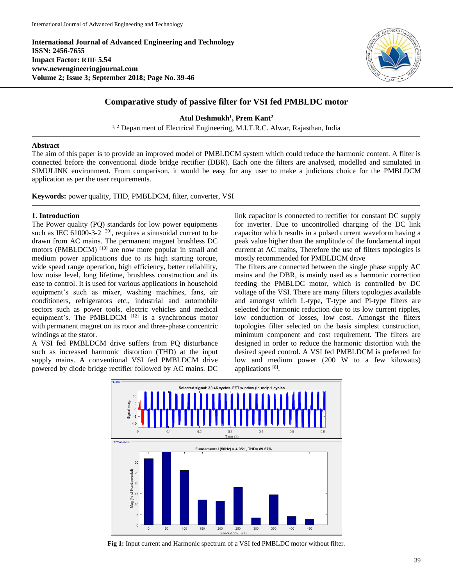**International Journal of Advanced Engineering and Technology ISSN: 2456-7655 Impact Factor: RJIF 5.54 www.newengineeringjournal.com Volume 2; Issue 3; September 2018; Page No. 39-46**



# **Comparative study of passive filter for VSI fed PMBLDC motor**

**Atul Deshmukh<sup>1</sup> , Prem Kant 2**

<sup>1, 2</sup> Department of Electrical Engineering, M.I.T.R.C. Alwar, Rajasthan, India

### **Abstract**

The aim of this paper is to provide an improved model of PMBLDCM system which could reduce the harmonic content. A filter is connected before the conventional diode bridge rectifier (DBR). Each one the filters are analysed, modelled and simulated in SIMULINK environment. From comparison, it would be easy for any user to make a judicious choice for the PMBLDCM application as per the user requirements.

**Keywords:** power quality, THD, PMBLDCM, filter, converter, VSI

## **1. Introduction**

The Power quality (PQ) standards for low power equipments such as IEC  $61000-3-2$   $[20]$ , requires a sinusoidal current to be drawn from AC mains. The permanent magnet brushless DC motors (PMBLDCM)<sup>[10]</sup> are now more popular in small and medium power applications due to its high starting torque, wide speed range operation, high efficiency, better reliability, low noise level, long lifetime, brushless construction and its ease to control. It is used for various applications in household equipment's such as mixer, washing machines, fans, air conditioners, refrigerators etc., industrial and automobile sectors such as power tools, electric vehicles and medical equipment's. The PMBLDCM  $[12]$  is a synchronous motor with permanent magnet on its rotor and three-phase concentric windings at the stator.

A VSI fed PMBLDCM drive suffers from PQ disturbance such as increased harmonic distortion (THD) at the input supply mains. A conventional VSI fed PMBLDCM drive powered by diode bridge rectifier followed by AC mains. DC

link capacitor is connected to rectifier for constant DC supply for inverter. Due to uncontrolled charging of the DC link capacitor which results in a pulsed current waveform having a peak value higher than the amplitude of the fundamental input current at AC mains, Therefore the use of filters topologies is mostly recommended for PMBLDCM drive

The filters are connected between the single phase supply AC mains and the DBR, is mainly used as a harmonic correction feeding the PMBLDC motor, which is controlled by DC voltage of the VSI. There are many filters topologies available and amongst which L-type, T-type and Pi-type filters are selected for harmonic reduction due to its low current ripples, low conduction of losses, low cost. Amongst the filters topologies filter selected on the basis simplest construction, minimum component and cost requirement. The filters are designed in order to reduce the harmonic distortion with the desired speed control. A VSI fed PMBLDCM is preferred for low and medium power (200 W to a few kilowatts) applications<sup>[8]</sup>.



**Fig 1:** Input current and Harmonic spectrum of a VSI fed PMBLDC motor without filter.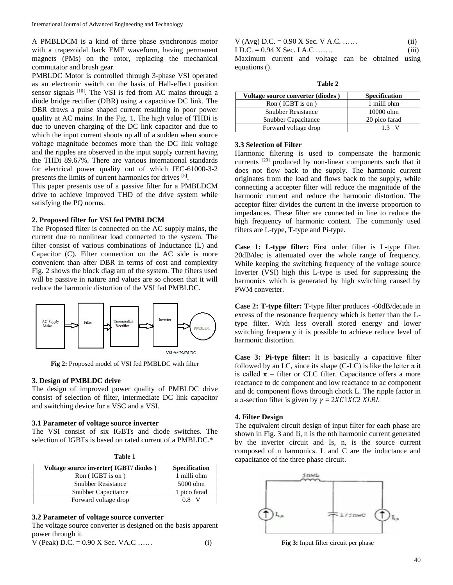A PMBLDCM is a kind of three phase synchronous motor with a trapezoidal back EMF waveform, having permanent magnets (PMs) on the rotor, replacing the mechanical commutator and brush gear.

PMBLDC Motor is controlled through 3-phase VSI operated as an electronic switch on the basis of Hall-effect position sensor signals [10]. The VSI is fed from AC mains through a diode bridge rectifier (DBR) using a capacitive DC link. The DBR draws a pulse shaped current resulting in poor power quality at AC mains. In the Fig. 1, The high value of THDi is due to uneven charging of the DC link capacitor and due to which the input current shoots up all of a sudden when source voltage magnitude becomes more than the DC link voltage and the ripples are observed in the input supply current having the THDi 89.67%. There are various international standards for electrical power quality out of which IEC-61000-3-2 presents the limits of current harmonics for drives [5].

This paper presents use of a passive filter for a PMBLDCM drive to achieve improved THD of the drive system while satisfying the PQ norms.

#### **2. Proposed filter for VSI fed PMBLDCM**

The Proposed filter is connected on the AC supply mains, the current due to nonlinear load connected to the system. The filter consist of various combinations of Inductance (L) and Capacitor (C). Filter connection on the AC side is more convenient than after DBR in terms of cost and complexity Fig. 2 shows the block diagram of the system. The filters used will be passive in nature and values are so chosen that it will reduce the harmonic distortion of the VSI fed PMBLDC.



**Fig 2:** Propo*s*ed model of VSI fed PMBLDC with filter

#### **3. Design of PMBLDC drive**

The design of improved power quality of PMBLDC drive consist of selection of filter, intermediate DC link capacitor and switching device for a VSC and a VSI.

#### **3.1 Parameter of voltage source inverter**

The VSI consist of six IGBTs and diode switches. The selection of IGBTs is based on rated current of a PMBLDC.\*

| Ю |  |
|---|--|
|---|--|

| Voltage source inverter (IGBT/diodes) | <b>Specification</b> |
|---------------------------------------|----------------------|
| Ron (IGBT is on)                      | 1 milli ohm          |
| <b>Snubber Resistance</b>             | 5000 ohm             |
| <b>Snubber Capacitance</b>            | 1 pico farad         |
| Forward voltage drop                  |                      |

#### **3.2 Parameter of voltage source converter**

The voltage source converter is designed on the basis apparent power through it.

$$
V (Peak) D.C. = 0.90 X Sec. VA.C ....... \t\t(i)
$$

| V (Avg) D.C. = $0.90$ X Sec. V A.C.               |  |  |  | (i)   |
|---------------------------------------------------|--|--|--|-------|
| I D.C. = $0.94$ X Sec. I A.C                      |  |  |  | (111) |
| Maximum current and voltage can be obtained using |  |  |  |       |

**Table 2**

| Voltage source converter (diodes) | <b>Specification</b> |
|-----------------------------------|----------------------|
| Ron (IGBT is on)                  | 1 milli ohm          |
| <b>Snubber Resistance</b>         | $10000$ ohm          |
| <b>Snubber Capacitance</b>        | 20 pico farad        |
| Forward voltage drop              | 13                   |

#### **3.3 Selection of Filter**

equations ().

Harmonic filtering is used to compensate the harmonic currents [20] produced by non-linear components such that it does not flow back to the supply. The harmonic current originates from the load and flows back to the supply, while connecting a accepter filter will reduce the magnitude of the harmonic current and reduce the harmonic distortion. The acceptor filter divides the current in the inverse proportion to impedances. These filter are connected in line to reduce the high frequency of harmonic content. The commonly used filters are L-type, T-type and Pi-type.

**Case 1: L-type filter:** First order filter is L-type filter. 20dB/dec is attenuated over the whole range of frequency. While keeping the switching frequency of the voltage source Inverter (VSI) high this L-type is used for suppressing the harmonics which is generated by high switching caused by PWM converter.

**Case 2: T-type filter:** T-type filter produces -60dB/decade in excess of the resonance frequency which is better than the Ltype filter. With less overall stored energy and lower switching frequency it is possible to achieve reduce level of harmonic distortion.

**Case 3: Pi-type filter:** It is basically a capacitive filter followed by an LC, since its shape (C-LC) is like the letter  $\pi$  it is called  $\pi$  – filter or CLC filter. Capacitance offers a more reactance to dc component and low reactance to ac component and dc component flows through chock L. The ripple factor in a  $\pi$ -section filter is given by  $\gamma = 2XC1XC2 XLRL$ 

#### **4. Filter Design**

The equivalent circuit design of input filter for each phase are shown in Fig. 3 and Ii, n is the nth harmonic current generated by the inverter circuit and Is, n, is the source current composed of n harmonics. L and C are the inductance and capacitance of the three phase circuit.



**Fig 3:** Input filter circuit per phase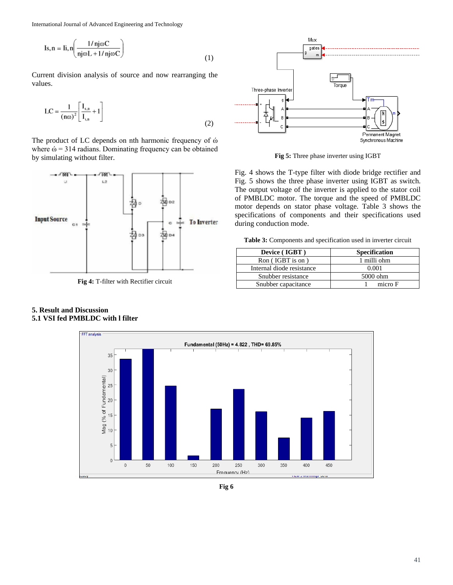International Journal of Advanced Engineering and Technology

Is, n = Ii, n
$$
\left(\frac{1/nj\omega C}{nj\omega L + 1/nj\omega C}\right)
$$
 (1)

Current division analysis of source and now rearranging the values.

$$
LC = \frac{1}{(n\omega)^2} \left[ \frac{I_{s,n}}{I_{i,n}} + 1 \right]
$$
 (2)

The product of LC depends on nth harmonic frequency of ώ where  $\acute{\omega}$  = 314 radians. Dominating frequency can be obtained by simulating without filter.



**Fig 4:** T-filter with Rectifier circuit

### **5. Result and Discussion 5.1 VSI fed PMBLDC with l filter**



**Fig 5:** Three phase inverter using IGBT

Fig. 4 shows the T-type filter with diode bridge rectifier and Fig. 5 shows the three phase inverter using IGBT as switch. The output voltage of the inverter is applied to the stator coil of PMBLDC motor. The torque and the speed of PMBLDC motor depends on stator phase voltage. Table 3 shows the specifications of components and their specifications used during conduction mode.

**Table 3:** Components and specification used in inverter circuit

| Device (IGBT)             | <b>Specification</b> |  |
|---------------------------|----------------------|--|
| Ron (IGBT is on)          | 1 milli ohm          |  |
| Internal diode resistance | 0.001                |  |
| Snubber resistance        | 5000 ohm             |  |
| Snubber capacitance       | micro F              |  |



**Fig 6**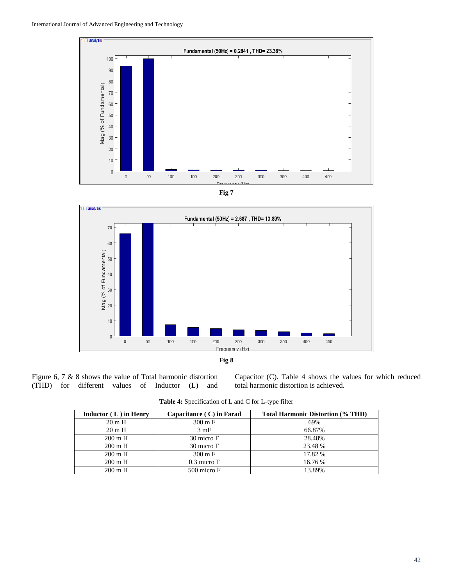





Figure 6, 7 & 8 shows the value of Total harmonic distortion (THD) for different values of Inductor (L) and

Capacitor (C). Table 4 shows the values for which reduced total harmonic distortion is achieved.

| <b>Table 4:</b> Specification of L and C for L-type filter |  |
|------------------------------------------------------------|--|
|------------------------------------------------------------|--|

| Inductor $(L)$ in Henry | Capacitance (C) in Farad | <b>Total Harmonic Distortion (% THD)</b> |
|-------------------------|--------------------------|------------------------------------------|
| $20 \text{ m H}$        | $300 \text{ m}$ F        | 69%                                      |
| $20 \text{ m H}$        | $3 \text{ mF}$<br>66.87% |                                          |
| $200 \text{ m H}$       | 30 micro F               | 28.48%                                   |
| $200 \text{ m}$ H       | 30 micro F               | 23.48 %                                  |
| $200 \text{ m H}$       | $300 \text{ m}$ F        | 17.82 %                                  |
| $200 \text{ m H}$       | $0.3$ micro $F$          | 16.76 %                                  |
| $200 \text{ m H}$       | 500 micro F              | 13.89%                                   |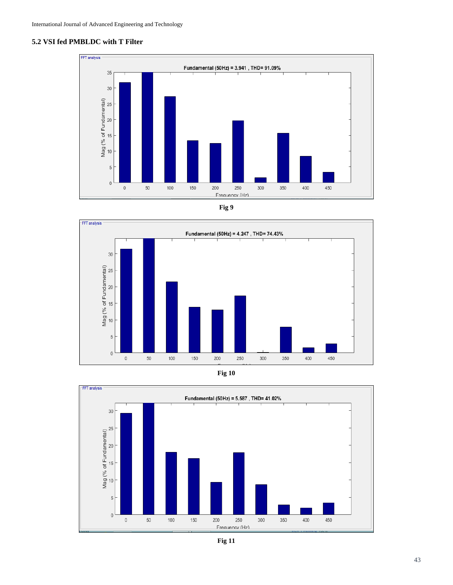## **5.2 VSI fed PMBLDC with T Filter**











**Fig 11**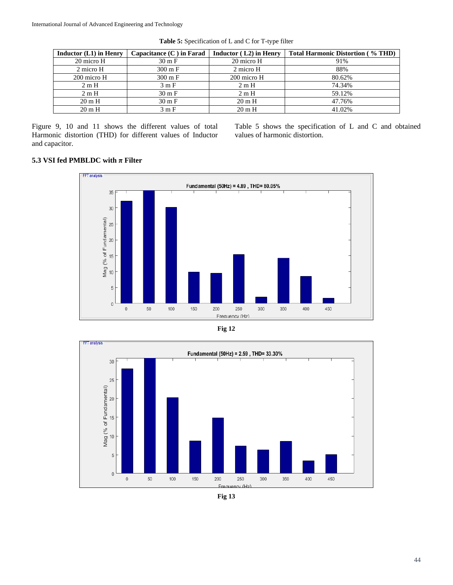| Inductor $(L1)$ in Henry | Capacitance $(C)$ in Farad | Inductor $(L2)$ in Henry | <b>Total Harmonic Distortion (% THD)</b> |
|--------------------------|----------------------------|--------------------------|------------------------------------------|
| 20 micro H               | $30 \text{ m F}$           | 20 micro H               | 91%                                      |
| 2 micro H                | $300 \text{ m}$ F          | 2 micro H                | 88%                                      |
| 200 micro H              | $300 \text{ m}$ F          | 200 micro H              | 80.62%                                   |
| 2mH                      | 3mF                        | 2mH                      | 74.34%                                   |
| 2mH                      | $30 \text{ m}$ F           | 2mH                      | 59.12%                                   |
| $20 \text{ m H}$         | $30 \text{ m F}$           | $20 \text{ m H}$         | 47.76%                                   |
| $20 \text{ m H}$         | 3mF                        | $20 \text{ m H}$         | 41.02%                                   |

**Table 5:** Specification of L and C for T-type filter

Figure 9, 10 and 11 shows the different values of total Harmonic distortion (THD) for different values of Inductor and capacitor.

Table 5 shows the specification of L and C and obtained values of harmonic distortion.

# **5.3 VSI fed PMBLDC with π Filter**







**Fig 13**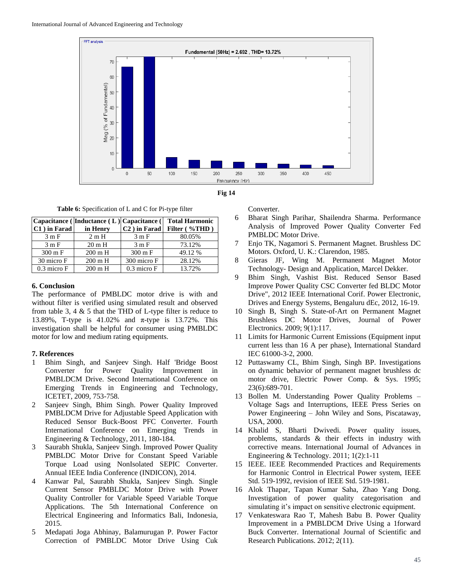



**Table 6:** Specification of L and C for Pi-type filter

|                   | Capacitance (Inductance (L) Capacitance ( |                           | <b>Total Harmonic</b> |
|-------------------|-------------------------------------------|---------------------------|-----------------------|
| $C1$ ) in Farad   | in Henry                                  | C <sub>2</sub> ) in Farad | Filter (%THD)         |
| 3mF               | 2mH                                       | 3mF                       | 80.05%                |
| 3mF               | $20 \text{ m H}$                          | 3mF                       | 73.12%                |
| $300 \text{ m}$ F | $200 \text{ m H}$                         | $300 \text{ m}$ F         | 49.12 %               |
| 30 micro F        | $200 \text{ m H}$                         | 300 micro F               | 28.12%                |
| $0.3$ micro $F$   | $200 \text{ m H}$                         | $0.3$ micro $F$           | 13.72%                |

## **6. Conclusion**

The performance of PMBLDC motor drive is with and without filter is verified using simulated result and observed from table 3, 4  $\&$  5 that the THD of L-type filter is reduce to 13.89%, T-type is 41.02% and π-type is 13.72%. This investigation shall be helpful for consumer using PMBLDC motor for low and medium rating equipments.

## **7. References**

- 1 Bhim Singh, and Sanjeev Singh. Half 'Bridge Boost Converter for Power Quality Improvement in PMBLDCM Drive. Second International Conference on Emerging Trends in Engineering and Technology, ICETET, 2009, 753-758.
- 2 Sanjeev Singh, Bhim Singh. Power Quality Improved PMBLDCM Drive for Adjustable Speed Application with Reduced Sensor Buck-Boost PFC Converter. Fourth International Conference on Emerging Trends in Engineering & Technology, 2011, 180-184.
- 3 Saurabh Shukla, Sanjeev Singh. Improved Power Quality PMBLDC Motor Drive for Constant Speed Variable Torque Load using NonIsolated SEPIC Converter. Annual IEEE India Conference (INDICON), 2014.
- 4 Kanwar Pal, Saurabh Shukla, Sanjeev Singh. Single Current Sensor PMBLDC Motor Drive with Power Quality Controller for Variable Speed Variable Torque Applications. The 5th International Conference on Electrical Engineering and Informatics Bali, Indonesia, 2015.
- 5 Medapati Joga Abhinay, Balamurugan P. Power Factor Correction of PMBLDC Motor Drive Using Cuk

Converter.

- 6 Bharat Singh Parihar, Shailendra Sharma. Performance Analysis of Improved Power Quality Converter Fed PMBLDC Motor Drive.
- 7 Enjo TK, Nagamori S. Permanent Magnet. Brushless DC Motors. Oxford, U. K.: Clarendon, 1985.
- 8 Gieras JF, Wing M. Permanent Magnet Motor Technology- Design and Application, Marcel Dekker.
- 9 Bhim Singh, Vashist Bist. Reduced Sensor Based Improve Power Quality CSC Converter fed BLDC Motor Drive", 2012 IEEE International Corif. Power Electronic, Drives and Energy Systems, Bengaluru dEc, 2012, 16-19.
- 10 Singh B, Singh S. State-of-Art on Permanent Magnet Brushless DC Motor Drives, Journal of Power Electronics. 2009; 9(1):117.
- 11 Limits for Harmonic Current Emissions (Equipment input current less than 16 A per phase), International Standard IEC 61000-3-2, 2000.
- 12 Puttaswamy CL, Bhim Singh, Singh BP. Investigations on dynamic behavior of permanent magnet brushless dc motor drive, Electric Power Comp. & Sys. 1995; 23(6):689-701.
- 13 Bollen M. Understanding Power Quality Problems Voltage Sags and Interruptions, IEEE Press Series on Power Engineering – John Wiley and Sons, Piscataway, USA, 2000.
- 14 Khalid S, Bharti Dwivedi. Power quality issues, problems, standards & their effects in industry with corrective means. International Journal of Advances in Engineering & Technology. 2011; 1(2):1-11
- 15 IEEE. IEEE Recommended Practices and Requirements for Harmonic Control in Electrical Power system, IEEE Std. 519-1992, revision of IEEE Std. 519-1981.
- 16 Alok Thapar, Tapan Kumar Saha, Zhao Yang Dong. Investigation of power quality categorisation and simulating it's impact on sensitive electronic equipment.
- 17 Venkateswara Rao T, Mahesh Babu B. Power Quality Improvement in a PMBLDCM Drive Using a 1forward Buck Converter. International Journal of Scientific and Research Publications. 2012; 2(11).